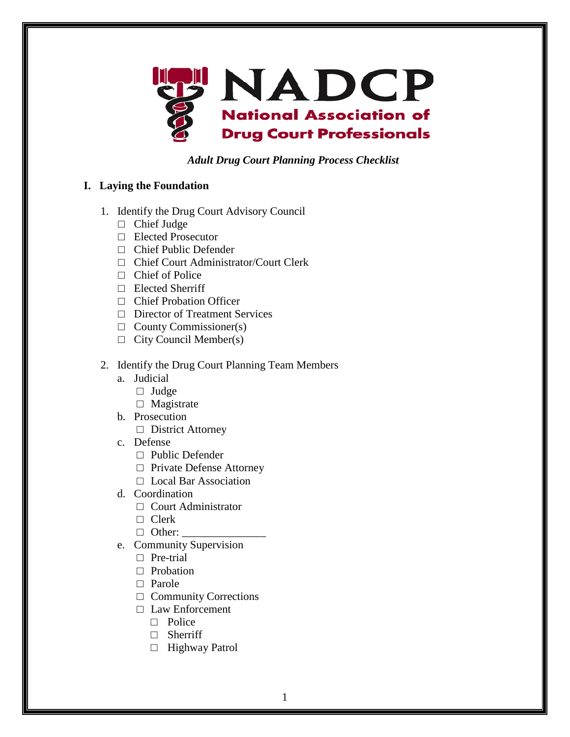

## *Adult Drug Court Planning Process Checklist*

## **I. Laying the Foundation**

- 1. Identify the Drug Court Advisory Council
	- □ Chief Judge
	- □ Elected Prosecutor
	- □ Chief Public Defender
	- □ Chief Court Administrator/Court Clerk
	- □ Chief of Police
	- □ Elected Sherriff
	- □ Chief Probation Officer
	- □ Director of Treatment Services
	- $\Box$  County Commissioner(s)
	- $\Box$  City Council Member(s)
- 2. Identify the Drug Court Planning Team Members
	- a. Judicial
		- □ Judge
		- □ Magistrate
	- b. Prosecution
		- □ District Attorney
	- c. Defense
		- $\Box$  Public Defender
		- □ Private Defense Attorney
		- □ Local Bar Association
	- d. Coordination
		- □ Court Administrator
		- $\Box$  Clerk
		- $\Box$  Other:
	- e. Community Supervision
		- □ Pre-trial
		- □ Probation
		- □ Parole
		- □ Community Corrections
		- □ Law Enforcement
			- □ Police
			- □ Sherriff
			- □ Highway Patrol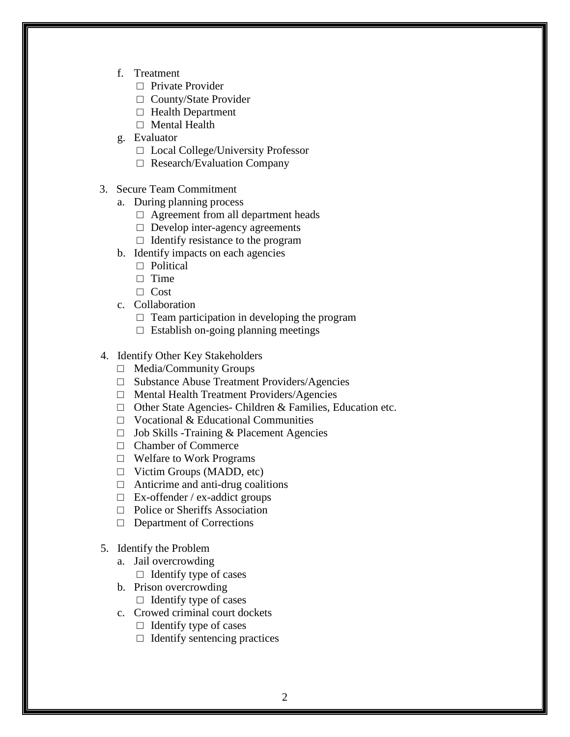- f. Treatment
	- □ Private Provider
	- □ County/State Provider
	- □ Health Department
	- □ Mental Health
- g. Evaluator
	- □ Local College/University Professor
	- □ Research/Evaluation Company
- 3. Secure Team Commitment
	- a. During planning process
		- □ Agreement from all department heads
		- □ Develop inter-agency agreements
		- $\Box$  Identify resistance to the program
	- b. Identify impacts on each agencies
		- □ Political
		- $\Box$  Time
		- □ Cost
	- c. Collaboration
		- $\Box$  Team participation in developing the program
		- $\Box$  Establish on-going planning meetings
- 4. Identify Other Key Stakeholders
	- □ Media/Community Groups
	- □ Substance Abuse Treatment Providers/Agencies
	- □ Mental Health Treatment Providers/Agencies
	- $\Box$  Other State Agencies- Children & Families, Education etc.
	- □ Vocational & Educational Communities
	- □ Job Skills -Training & Placement Agencies
	- □ Chamber of Commerce
	- □ Welfare to Work Programs
	- □ Victim Groups (MADD, etc)
	- $\Box$  Anticrime and anti-drug coalitions
	- $\Box$  Ex-offender / ex-addict groups
	- □ Police or Sheriffs Association
	- □ Department of Corrections
- 5. Identify the Problem
	- a. Jail overcrowding
		- $\Box$  Identify type of cases
	- b. Prison overcrowding  $\Box$  Identify type of cases
	- c. Crowed criminal court dockets
		- $\Box$  Identify type of cases
		- $\Box$  Identify sentencing practices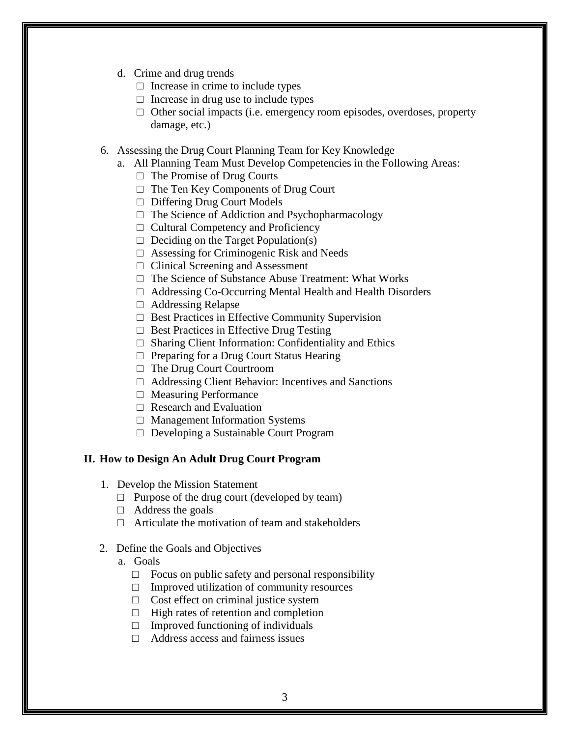- d. Crime and drug trends
	- $\Box$  Increase in crime to include types
	- $\Box$  Increase in drug use to include types
	- $\Box$  Other social impacts (i.e. emergency room episodes, overdoses, property damage, etc.)
- 6. Assessing the Drug Court Planning Team for Key Knowledge
	- a. All Planning Team Must Develop Competencies in the Following Areas:
		- $\Box$  The Promise of Drug Courts
		- □ The Ten Key Components of Drug Court
		- □ Differing Drug Court Models
		- $\Box$  The Science of Addiction and Psychopharmacology
		- $\Box$  Cultural Competency and Proficiency
		- $\Box$  Deciding on the Target Population(s)
		- $\Box$  Assessing for Criminogenic Risk and Needs
		- □ Clinical Screening and Assessment
		- □ The Science of Substance Abuse Treatment: What Works
		- □ Addressing Co-Occurring Mental Health and Health Disorders
		- □ Addressing Relapse
		- □ Best Practices in Effective Community Supervision
		- $\Box$  Best Practices in Effective Drug Testing
		- $\Box$  Sharing Client Information: Confidentiality and Ethics
		- □ Preparing for a Drug Court Status Hearing
		- □ The Drug Court Courtroom
		- $\Box$  Addressing Client Behavior: Incentives and Sanctions
		- □ Measuring Performance
		- $\Box$  Research and Evaluation
		- □ Management Information Systems
		- □ Developing a Sustainable Court Program

## **II. How to Design An Adult Drug Court Program**

- 1.Develop the Mission Statement
	- $\Box$  Purpose of the drug court (developed by team)
	- $\Box$  Address the goals
	- $\Box$  Articulate the motivation of team and stakeholders
- 2. Define the Goals and Objectives
	- a. Goals
		- $\Box$  Focus on public safety and personal responsibility
		- $\Box$  Improved utilization of community resources
		- $\Box$  Cost effect on criminal justice system
		- $\Box$  High rates of retention and completion
		- $\Box$  Improved functioning of individuals
		- □ Address access and fairness issues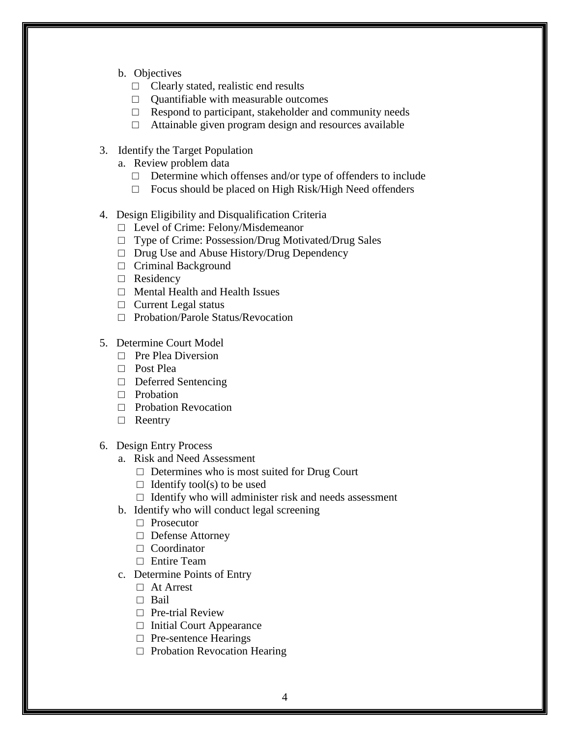- b. Objectives
	- $\Box$  Clearly stated, realistic end results
	- □ Quantifiable with measurable outcomes
	- $\Box$  Respond to participant, stakeholder and community needs
	- $\Box$  Attainable given program design and resources available
- 3. Identify the Target Population
	- a. Review problem data
		- $\Box$  Determine which offenses and/or type of offenders to include
		- □ Focus should be placed on High Risk/High Need offenders
- 4. Design Eligibility and Disqualification Criteria
	- □ Level of Crime: Felony/Misdemeanor
	- □ Type of Crime: Possession/Drug Motivated/Drug Sales
	- □ Drug Use and Abuse History/Drug Dependency
	- □ Criminal Background
	- □ Residency
	- □ Mental Health and Health Issues
	- $\Box$  Current Legal status
	- □ Probation/Parole Status/Revocation
- 5. Determine Court Model
	- □ Pre Plea Diversion
	- □ Post Plea
	- □ Deferred Sentencing
	- □ Probation
	- □ Probation Revocation
	- □ Reentry
- 6. Design Entry Process
	- a. Risk and Need Assessment
		- $\Box$  Determines who is most suited for Drug Court
		- $\Box$  Identify tool(s) to be used
		- $\Box$  Identify who will administer risk and needs assessment
	- b. Identify who will conduct legal screening
		- □ Prosecutor
		- □ Defense Attorney
		- □ Coordinator
		- □ Entire Team
	- c. Determine Points of Entry
		- □ At Arrest
		- □ Bail
		- □ Pre-trial Review
		- $\Box$  Initial Court Appearance
		- □ Pre-sentence Hearings
		- $\Box$  Probation Revocation Hearing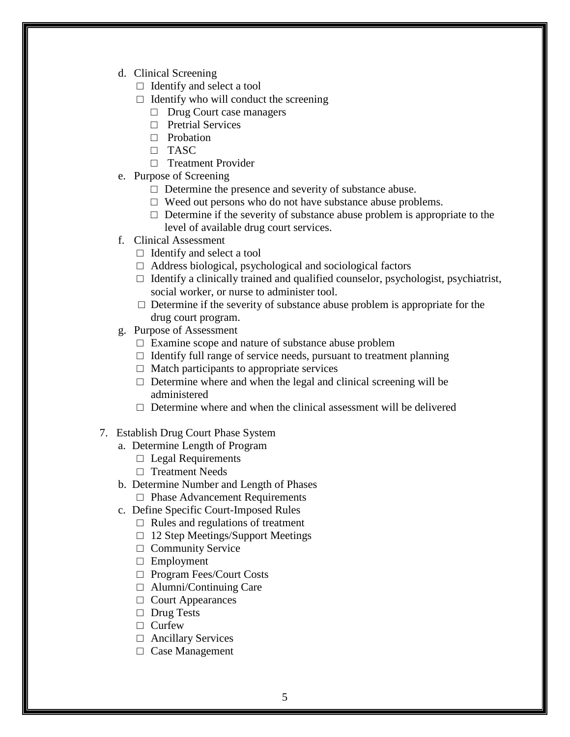- d. Clinical Screening
	- $\Box$  Identify and select a tool
	- $\Box$  Identify who will conduct the screening
		- □ Drug Court case managers
		- □ Pretrial Services
		- □ Probation
		- $\Box$  TASC
		- □ Treatment Provider
- e. Purpose of Screening
	- $\Box$  Determine the presence and severity of substance abuse.
	- $\square$  Weed out persons who do not have substance abuse problems.
	- $\Box$  Determine if the severity of substance abuse problem is appropriate to the level of available drug court services.
- f. Clinical Assessment
	- $\Box$  Identify and select a tool
	- $\Box$  Address biological, psychological and sociological factors
	- $\Box$  Identify a clinically trained and qualified counselor, psychologist, psychiatrist, social worker, or nurse to administer tool.
	- $\square$  Determine if the severity of substance abuse problem is appropriate for the drug court program.
- g. Purpose of Assessment
	- □ Examine scope and nature of substance abuse problem
	- $\Box$  Identify full range of service needs, pursuant to treatment planning
	- $\Box$  Match participants to appropriate services
	- $\Box$  Determine where and when the legal and clinical screening will be administered
	- $\Box$  Determine where and when the clinical assessment will be delivered
- 7. Establish Drug Court Phase System
	- a. Determine Length of Program
		- $\Box$  Legal Requirements
		- □ Treatment Needs
	- b. Determine Number and Length of Phases
		- □ Phase Advancement Requirements
	- c. Define Specific Court-Imposed Rules
		- $\Box$  Rules and regulations of treatment
		- $\Box$  12 Step Meetings/Support Meetings
		- □ Community Service
		- □ Employment
		- □ Program Fees/Court Costs
		- □ Alumni/Continuing Care
		- □ Court Appearances
		- □ Drug Tests
		- □ Curfew
		- □ Ancillary Services
		- □ Case Management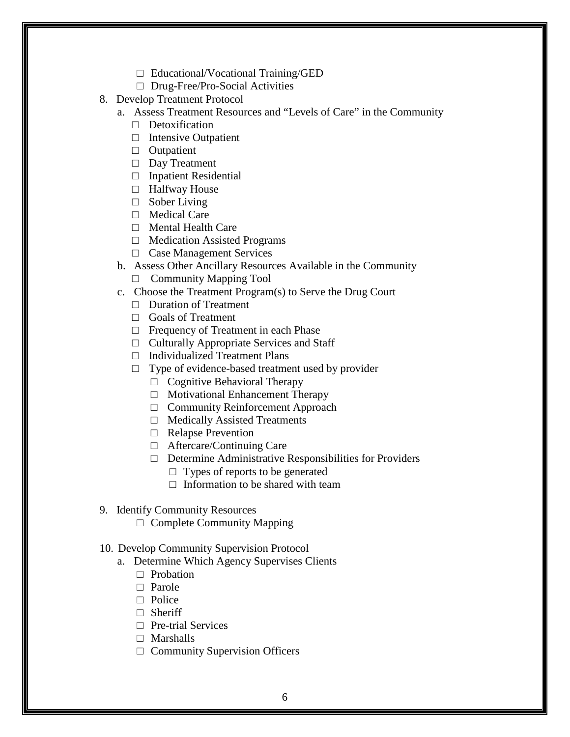- □ Educational/Vocational Training/GED
- □ Drug-Free/Pro-Social Activities
- 8. Develop Treatment Protocol
	- a. Assess Treatment Resources and "Levels of Care" in the Community
		- $\Box$  Detoxification
		- $\Box$  Intensive Outpatient
		- □ Outpatient
		- □ Day Treatment
		- □ Inpatient Residential
		- □ Halfway House
		- □ Sober Living
		- □ Medical Care
		- □ Mental Health Care
		- □ Medication Assisted Programs
		- □ Case Management Services
	- b. Assess Other Ancillary Resources Available in the Community
		- $\Box$  Community Mapping Tool
	- c. Choose the Treatment Program(s) to Serve the Drug Court
		- □ Duration of Treatment
		- □ Goals of Treatment
		- □ Frequency of Treatment in each Phase
		- $\Box$  Culturally Appropriate Services and Staff
		- □ Individualized Treatment Plans
		- $\Box$  Type of evidence-based treatment used by provider
			- $\Box$  Cognitive Behavioral Therapy
			- □ Motivational Enhancement Therapy
			- □ Community Reinforcement Approach
			- □ Medically Assisted Treatments
			- □ Relapse Prevention
			- □ Aftercare/Continuing Care
			- $\Box$  Determine Administrative Responsibilities for Providers
				- $\Box$  Types of reports to be generated
				- $\Box$  Information to be shared with team
- 9. Identify Community Resources
	- $\Box$  Complete Community Mapping

## 10. Develop Community Supervision Protocol

- a. Determine Which Agency Supervises Clients
	- □ Probation
	- □ Parole
	- □ Police
	- □ Sheriff
	- □ Pre-trial Services
	- □ Marshalls
	- □ Community Supervision Officers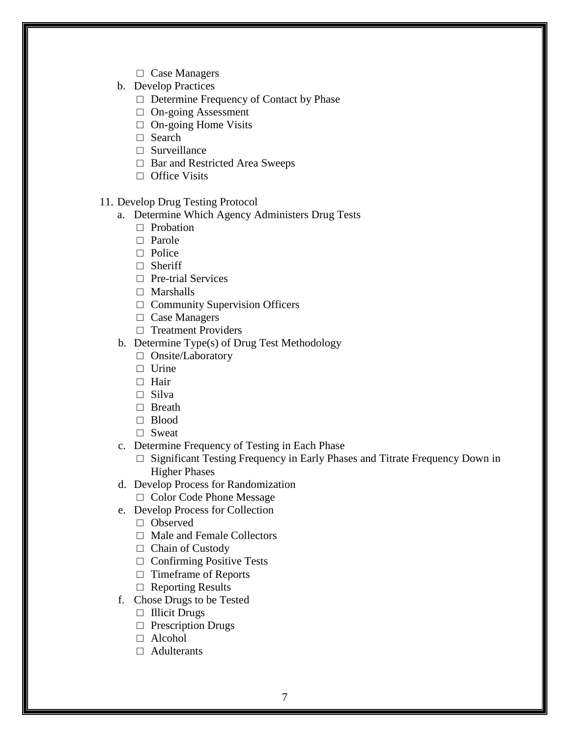- □ Case Managers
- b. Develop Practices
	- □ Determine Frequency of Contact by Phase
	- □ On-going Assessment
	- $\Box$  On-going Home Visits
	- □ Search
	- $\Box$  Surveillance
	- □ Bar and Restricted Area Sweeps
	- □ Office Visits
- 11. Develop Drug Testing Protocol
	- a. Determine Which Agency Administers Drug Tests
		- □ Probation
		- □ Parole
		- □ Police
		- □ Sheriff
		- □ Pre-trial Services
		- □ Marshalls
		- □ Community Supervision Officers
		- □ Case Managers
		- □ Treatment Providers
	- b. Determine Type(s) of Drug Test Methodology
		- □ Onsite/Laboratory
		- □ Urine
		- □ Hair
		- □ Silva
		- □ Breath
		- □ Blood
		- □ Sweat
	- c. Determine Frequency of Testing in Each Phase
		- □ Significant Testing Frequency in Early Phases and Titrate Frequency Down in Higher Phases
	- d. Develop Process for Randomization
		- □ Color Code Phone Message
	- e. Develop Process for Collection
		- □ Observed
		- □ Male and Female Collectors
		- □ Chain of Custody
		- $\Box$  Confirming Positive Tests
		- □ Timeframe of Reports
		- □ Reporting Results
	- f. Chose Drugs to be Tested
		- □ Illicit Drugs
		- □ Prescription Drugs
		- □ Alcohol
		- □ Adulterants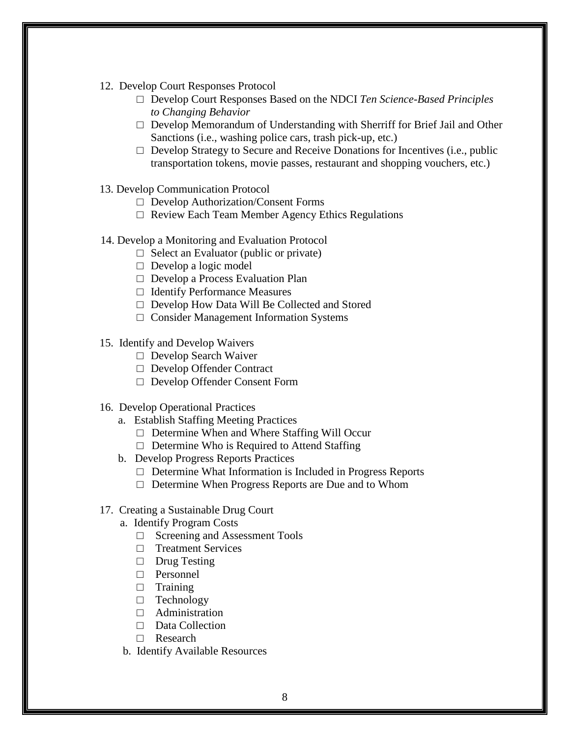- 12. Develop Court Responses Protocol
	- □ Develop Court Responses Based on the NDCI *Ten Science-Based Principles to Changing Behavior*
	- $\Box$  Develop Memorandum of Understanding with Sherriff for Brief Jail and Other Sanctions (i.e., washing police cars, trash pick-up, etc.)
	- $\Box$  Develop Strategy to Secure and Receive Donations for Incentives (i.e., public transportation tokens, movie passes, restaurant and shopping vouchers, etc.)
- 13. Develop Communication Protocol
	- □ Develop Authorization/Consent Forms
	- □ Review Each Team Member Agency Ethics Regulations
- 14. Develop a Monitoring and Evaluation Protocol
	- $\Box$  Select an Evaluator (public or private)
	- $\Box$  Develop a logic model
	- □ Develop a Process Evaluation Plan
	- □ Identify Performance Measures
	- □ Develop How Data Will Be Collected and Stored
	- □ Consider Management Information Systems
- 15. Identify and Develop Waivers
	- □ Develop Search Waiver
	- □ Develop Offender Contract
	- □ Develop Offender Consent Form
- 16. Develop Operational Practices
	- a. Establish Staffing Meeting Practices
		- □ Determine When and Where Staffing Will Occur
		- $\Box$  Determine Who is Required to Attend Staffing
	- b. Develop Progress Reports Practices
		- $\Box$  Determine What Information is Included in Progress Reports
		- □ Determine When Progress Reports are Due and to Whom
- 17. Creating a Sustainable Drug Court
	- a. Identify Program Costs
		- □ Screening and Assessment Tools
		- □ Treatment Services
		- □ Drug Testing
		- □ Personnel
		- □ Training
		- □ Technology
		- $\Box$  Administration
		- □ Data Collection
		- □ Research
	- b. Identify Available Resources